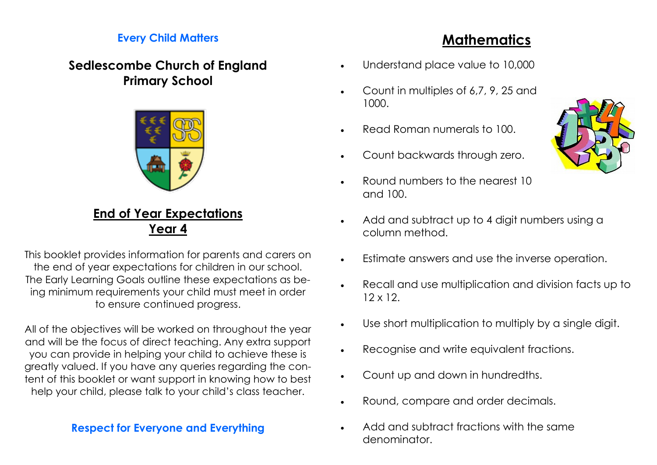#### **Every Child Matters**

### **Sedlescombe Church of England Primary School**



### **End of Year Expectations Year 4**

This booklet provides information for parents and carers on the end of year expectations for children in our school. The Early Learning Goals outline these expectations as being minimum requirements your child must meet in order to ensure continued progress.

All of the objectives will be worked on throughout the year and will be the focus of direct teaching. Any extra support you can provide in helping your child to achieve these is greatly valued. If you have any queries regarding the content of this booklet or want support in knowing how to best help your child, please talk to your child's class teacher.

#### **Respect for Everyone and Everything**

# **Mathematics**

- Understand place value to 10,000
- Count in multiples of 6,7, 9, 25 and 1000.
- Read Roman numerals to 100.
- Count backwards through zero.
- Round numbers to the nearest 10 and 100.
- Add and subtract up to 4 digit numbers using a column method.
- Estimate answers and use the inverse operation.
- Recall and use multiplication and division facts up to 12 x 12.
- Use short multiplication to multiply by a single digit.
- Recognise and write equivalent fractions.
- Count up and down in hundredths.
- Round, compare and order decimals.
- Add and subtract fractions with the same denominator.